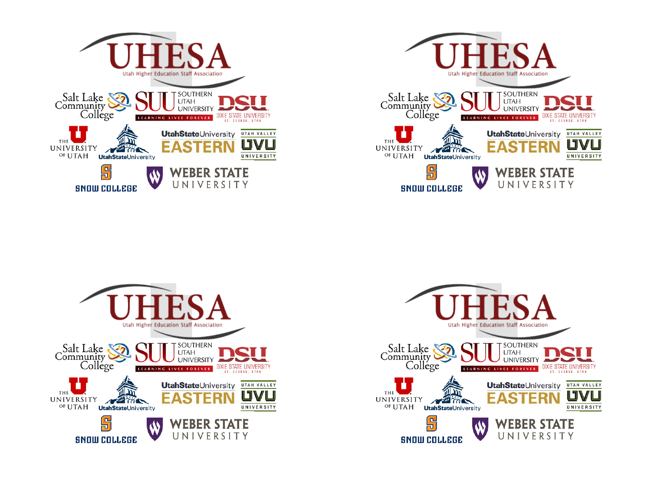